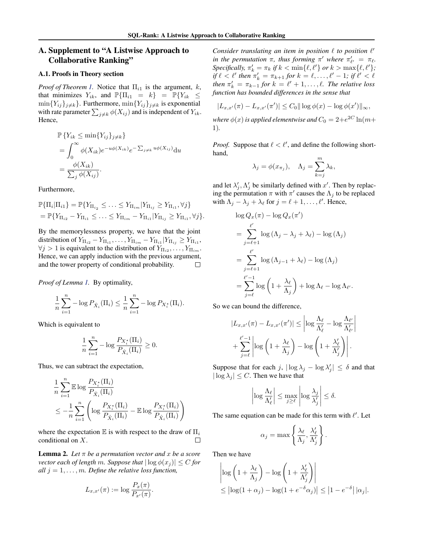## <span id="page-0-0"></span>A. Supplement to "A Listwise Approach to Collaborative Ranking"

## A.1. Proofs in Theory section

*Proof of Theorem 1.* Notice that  $\Pi_{i1}$  is the argument, *k*, that minimizes  $Y_{ik}$ , and  $\mathbb{P}\{\Pi_{i1} = k\} = \mathbb{P}\{Y_{ik} \leq$  $\min\{Y_{ij}\}_{j\neq k}\}.$  Furthermore,  $\min\{Y_{ij}\}_{j\neq k}$  is exponential with rate parameter  $\sum_{j \neq k} \phi(X_{ij})$  and is independent of  $Y_{ik}$ . Hence,

$$
\mathbb{P}\left\{Y_{ik} \le \min\{Y_{ij}\}_{j\neq k}\right\}
$$
  
= 
$$
\int_0^\infty \phi(X_{ik})e^{-u\phi(X_{ik})}e^{-\sum_{j\neq k} u\phi(X_{ij})}du
$$
  
= 
$$
\frac{\phi(X_{ik})}{\sum_j \phi(X_{ij})}.
$$

Furthermore,

$$
\mathbb{P}\{\Pi_i|\Pi_{i1}\} = \mathbb{P}\{Y_{\Pi_{i_2}} \leq \ldots \leq Y_{\Pi_{im}}|Y_{\Pi_{ij}} \geq Y_{\Pi_{i1}}, \forall j\} \n= \mathbb{P}\{Y_{\Pi_{i2}} - Y_{\Pi_{i1}} \leq \ldots \leq Y_{\Pi_{im}} - Y_{\Pi_{i1}}|Y_{\Pi_{ij}} \geq Y_{\Pi_{i1}}, \forall j\}.
$$

By the memorylessness property, we have that the joint distribution of  $Y_{\Pi_{i2}} - Y_{\Pi_{i1}}, \ldots, Y_{\Pi_{im}} - Y_{\Pi_{i1}} | Y_{\Pi_{ij}} \ge Y_{\Pi_{i1}},$  $\forall j > 1$  is equivalent to the distribution of  $Y_{\Pi_{i2}}, \ldots, Y_{\Pi_{im}}$ . Hence, we can apply induction with the previous argument, and the tower property of conditional probability.

*Proof of Lemma 1.* By optimality,

$$
\frac{1}{n}\sum_{i=1}^{n} -\log P_{\hat{X}_i}(\Pi_i) \le \frac{1}{n}\sum_{i=1}^{n} -\log P_{X_i^*}(\Pi_i).
$$

Which is equivalent to

$$
\frac{1}{n} \sum_{i=1}^{n} -\log \frac{P_{X_i^{\star}}(\Pi_i)}{P_{\hat{X}_i}(\Pi_i)} \ge 0.
$$

Thus, we can subtract the expectation,

$$
\frac{1}{n} \sum_{i=1}^{n} \mathbb{E} \log \frac{P_{X_i^*}(\Pi_i)}{P_{\hat{X}_i}(\Pi_i)}
$$
\n
$$
\leq -\frac{1}{n} \sum_{i=1}^{n} \left( \log \frac{P_{X_i^*}(\Pi_i)}{P_{\hat{X}_i}(\Pi_i)} - \mathbb{E} \log \frac{P_{X_i^*}(\Pi_i)}{P_{\hat{X}_i}(\Pi_i)} \right)
$$

where the expectation  $E$  is with respect to the draw of  $\Pi_i$ conditional on *X*.  $\Box$ 

**Lemma 2.** Let  $\pi$  be a permutation vector and  $x$  be a score *vector each of length m. Suppose that*  $|\log \phi(x_i)| \leq C$  *for all*  $j = 1, \ldots, m$ *. Define the relative loss function,* 

$$
L_{x,x'}(\pi) := \log \frac{P_x(\pi)}{P_{x'}(\pi)}.
$$

*Consider translating an item in position*  $\ell$  *to position*  $\ell'$ *in the permutation*  $\pi$ *, thus forming*  $\pi'$  *where*  $\pi'_{\ell'} = \pi_{\ell}$ *. Specifically,*  $\pi'_k = \pi_k$  *if*  $k < \min\{\ell, \ell'\}$  *or*  $k > \max\{\ell, \ell'\}$ ; *if*  $\ell < \ell'$  then  $\pi'_k = \pi_{k+1}$  for  $k = \ell, \ldots, \ell' - 1$ ; if  $\ell' < \ell$ *then*  $\pi'_k = \pi_{k-1}$  *for*  $k = \ell' + 1, \ldots, \ell$ *. The relative loss function has bounded differences in the sense that*

$$
|L_{x,x'}(\pi) - L_{x,x'}(\pi')| \leq C_0 ||\log \phi(x) - \log \phi(x')||_{\infty},
$$

*where*  $\phi(x)$  *is applied elementwise and*  $C_0 = 2 + e^{2C} \ln(m +$ 1)*.*

*Proof.* Suppose that  $\ell < \ell'$ , and define the following shorthand,

$$
\lambda_j = \phi(x_{\pi_j}), \quad \Lambda_j = \sum_{k=j}^m \lambda_k,
$$

and let  $\lambda'_j$ ,  $\Lambda'_j$  be similarly defined with *x'*. Then by replacing the permutation  $\pi$  with  $\pi'$  causes the  $\Lambda_j$  to be replaced with  $\Lambda_j - \lambda_j + \lambda_\ell$  for  $j = \ell + 1, \ldots, \ell'$ . Hence,

$$
\log Q_x(\pi) - \log Q_x(\pi')
$$
  
= 
$$
\sum_{j=\ell+1}^{\ell'} \log (\Lambda_j - \lambda_j + \lambda_\ell) - \log (\Lambda_j)
$$
  
= 
$$
\sum_{j=\ell+1}^{\ell'} \log (\Lambda_{j-1} + \lambda_\ell) - \log (\Lambda_j)
$$
  
= 
$$
\sum_{j=\ell}^{\ell'-1} \log \left(1 + \frac{\lambda_\ell}{\Lambda_j}\right) + \log \Lambda_\ell - \log \Lambda_{\ell'}.
$$

So we can bound the difference,

$$
|L_{x,x'}(\pi) - L_{x,x'}(\pi')| \le \left| \log \frac{\Lambda_{\ell}}{\Lambda'_{\ell}} - \log \frac{\Lambda_{\ell'}}{\Lambda'_{\ell'}} \right|
$$
  
+ 
$$
\sum_{j=\ell}^{\ell'-1} \left| \log \left( 1 + \frac{\lambda_{\ell}}{\Lambda_j} \right) - \log \left( 1 + \frac{\lambda'_{\ell}}{\Lambda'_j} \right) \right|.
$$

Suppose that for each *j*,  $|\log \lambda_j - \log \lambda'_j| \le \delta$  and that  $|\log \lambda_i| \leq C$ . Then we have that

$$
\left|\log \frac{\Lambda_\ell}{\Lambda'_\ell}\right| \leq \max_{j\geq \ell} \left|\log \frac{\lambda_j}{\lambda'_j}\right| \leq \delta.
$$

The same equation can be made for this term with  $\ell'$ . Let

$$
\alpha_j = \max\left\{\frac{\lambda_\ell}{\Lambda_j}, \frac{\lambda'_\ell}{\Lambda'_j}\right\}
$$

*.*

Then we have

$$
\left| \log \left( 1 + \frac{\lambda_{\ell}}{\Lambda_j} \right) - \log \left( 1 + \frac{\lambda'_{\ell}}{\Lambda'_j} \right) \right|
$$
  
\$\leq\$ 
$$
\left| \log(1 + \alpha_j) - \log(1 + e^{-\delta} \alpha_j) \right| \leq \left| 1 - e^{-\delta} \right| |\alpha_j|.
$$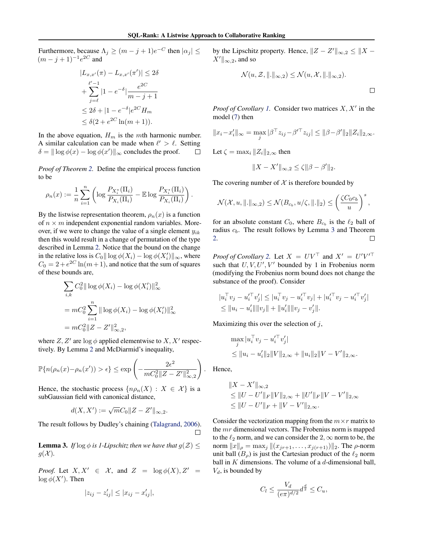Furthermore, because  $\Lambda_j \geq (m - j + 1)e^{-C}$  then  $|\alpha_j| \leq$  $(m - j + 1)^{-1}e^{2C}$  and

$$
|L_{x,x'}(\pi) - L_{x,x'}(\pi')| \le 2\delta
$$
  
+ 
$$
\sum_{j=\ell}^{\ell'-1} |1 - e^{-\delta}| \frac{e^{2C}}{m - j + 1}
$$
  

$$
\le 2\delta + |1 - e^{-\delta}| e^{2C} H_m
$$
  

$$
\le \delta(2 + e^{2C} \ln(m + 1)).
$$

In the above equation,  $H_m$  is the *mth* harmonic number. A similar calculation can be made when  $\ell' > \ell$ . Setting  $\delta = || \log \phi(x) - \log \phi(x') ||_{\infty}$  concludes the proof.  $\Box$ 

*Proof of Theorem [2.](#page-0-0)* Define the empirical process function to be

$$
\rho_n(x) := \frac{1}{n} \sum_{i=1}^n \left( \log \frac{P_{X_i^*}(\Pi_i)}{P_{X_i}(\Pi_i)} - \mathbb{E} \log \frac{P_{X_i^*}(\Pi_i)}{P_{X_i}(\Pi_i)} \right).
$$

By the listwise representation theorem,  $\rho_n(x)$  is a function of  $n \times m$  independent exponential random variables. Moreover, if we were to change the value of a single element *yik* then this would result in a change of permutation of the type described in Lemma [2.](#page-0-0) Notice that the bound on the change in the relative loss is  $C_0 \|\log \phi(X_i) - \log \phi(X'_i)\|_{\infty}$ , where  $C_0 = 2 + e^{2C} \ln(m + 1)$ , and notice that the sum of squares of these bounds are,

$$
\sum_{i,k} C_0^2 ||\log \phi(X_i) - \log \phi(X'_i) ||_{\infty}^2
$$
  
=  $mC_0^2 \sum_{i=1}^n ||\log \phi(X_i) - \log \phi(X'_i) ||_{\infty}^2$   
=  $mC_0^2 ||Z - Z'||_{\infty,2}^2$ ,

where  $Z, Z'$  are  $\log \phi$  applied elementwise to  $X, X'$  respectively. By Lemma [2](#page-0-0) and McDiarmid's inequality,

$$
\mathbb{P}\{n(\rho_n(x)-\rho_n(x'))>\epsilon\}\leq \exp\left(-\frac{2\epsilon^2}{mC_0^2\|Z-Z'\|_{\infty,2}^2}\right).
$$

Hence, the stochastic process  $\{n\rho_n(X): X \in \mathcal{X}\}\)$  is a subGaussian field with canonical distance,

$$
d(X, X') := \sqrt{m}C_0 ||Z - Z'||_{\infty, 2}.
$$

The result follows by Dudley's chaining [\(Talagrand,](#page-0-0) [2006\)](#page-0-0).  $\Box$ 

**Lemma 3.** *If*  $\log \phi$  *is 1-Lipschitz then we have that*  $g(Z) \leq$  $g(\mathcal{X})$ .

*Proof.* Let  $X, X' \in \mathcal{X}$ , and  $Z = \log \phi(X), Z' =$  $\log \phi(X')$ . Then

$$
|z_{ij} - z'_{ij}| \le |x_{ij} - x'_{ij}|,
$$

by the Lipschitz property. Hence,  $||Z - Z'||_{\infty,2} \leq ||X - \overline{Z'}||_{\infty}$  $X' \parallel_{\infty,2}$ , and so

$$
\mathcal{N}(u, \mathcal{Z}, \|\!.\|_{\infty,2}) \leq \mathcal{N}(u, \mathcal{X}, \|\!.\|_{\infty,2}).
$$

*Proof of Corollary [1.](#page-0-0)* Consider two matrices  $X, X'$  in the model [\(7\)](#page-0-0) then

$$
||x_i - x'_i||_{\infty} = \max_j |\beta^\top z_{ij} - \beta'^\top z_{ij}| \le ||\beta - \beta'||_2||Z_i||_{2,\infty}.
$$

Let  $\zeta = \max_i ||Z_i||_{2,\infty}$  then

$$
||X - X'||_{\infty,2} \le \zeta ||\beta - \beta'||_2.
$$

The covering number of  $X$  is therefore bounded by

$$
\mathcal{N}(\mathcal{X}, u, \|.\|_{\infty,2}) \leq \mathcal{N}(B_{c_b}, u/\zeta, \|.\|_2) \leq \left(\frac{\zeta C_0 c_b}{u}\right)^s,
$$

for an absolute constant  $C_0$ , where  $B_{c<sub>b</sub>}$  is the  $\ell_2$  ball of radius *cb*. The result follows by Lemma 3 and Theorem [2.](#page-0-0)  $\Box$ 

*Proof of Corollary* [2.](#page-0-0) Let  $X = UV^{\perp}$  and  $X' = U'V'^{\perp}$ such that  $U, V, U', V'$  bounded by 1 in Frobenius norm (modifying the Frobenius norm bound does not change the substance of the proof). Consider

$$
|u_i^{\top} v_j - u_i'^{\top} v_j' | \le |u_i^{\top} v_j - u_i'^{\top} v_j| + |u_i'^{\top} v_j - u_i'^{\top} v_j' |
$$
  
\n
$$
\le ||u_i - u_i'|| ||v_j|| + ||u_i'|| ||v_j - v_j'||.
$$

Maximizing this over the selection of *j*,

$$
\max_{j} |u_i^{\top} v_j - u_i'^{\top} v_j'|
$$
  
\n
$$
\leq ||u_i - u_i'||_2||V||_{2,\infty} + ||u_i||_2||V - V'||_{2,\infty}.
$$

Hence,

$$
||X - X'||_{\infty,2}
$$
  
\n
$$
\leq ||U - U'||_F ||V||_{2,\infty} + ||U'||_F ||V - V'||_{2,\infty}
$$
  
\n
$$
\leq ||U - U'||_F + ||V - V'||_{2,\infty}.
$$

Consider the vectorization mapping from the  $m \times r$  matrix to the *mr* dimensional vectors. The Frobenius norm is mapped to the  $\ell_2$  norm, and we can consider the 2,  $\infty$  norm to be, the norm  $||x||_{\rho} = \max_{j} ||(x_{jr+1},...,x_{j(r+1)})||_2$ . The  $\rho$ -norm unit ball  $(B<sub>o</sub>)$  is just the Cartesian product of the  $\ell_2$  norm ball in *K* dimensions. The volume of a *d*-dimensional ball, *Vd*, is bounded by

$$
C_l \le \frac{V_d}{(e\pi)^{d/2}} d^{\frac{d}{2}} \le C_u,
$$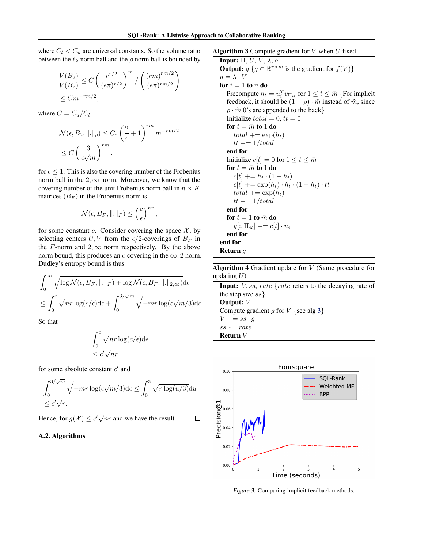where  $C_l < C_u$  are universal constants. So the volume ratio between the  $\ell_2$  norm ball and the  $\rho$  norm ball is bounded by

$$
\frac{V(B_2)}{V(B_\rho)} \le C \left(\frac{r^{r/2}}{(e\pi)^{r/2}}\right)^m / \left(\frac{(rm)^{rm/2}}{(e\pi)^{rm/2}}\right)
$$
  

$$
\le Cm^{-rm/2},
$$

where  $C = C_u/C_l$ .

$$
\mathcal{N}(\epsilon, B_2, \|\!.\|_{\rho}) \leq C_r \left(\frac{2}{\epsilon} + 1\right)^{rm} m^{-rm/2}
$$

$$
\leq C \left(\frac{3}{\epsilon \sqrt{m}}\right)^{rm},
$$

for  $\epsilon \leq 1$ . This is also the covering number of the Frobenius norm ball in the  $2, \infty$  norm. Moreover, we know that the covering number of the unit Frobenius norm ball in  $n \times K$ matrices  $(B_F)$  in the Frobenius norm is

$$
\mathcal{N}(\epsilon, B_F, \|\raisebox{.4ex}{.}\|_F) \leq \left(\frac{c}{\epsilon}\right)^{nr},
$$

for some constant *c*. Consider covering the space  $X$ , by selecting centers *U*, *V* from the  $\epsilon/2$ -coverings of  $B_F$  in the *F*-norm and  $2, \infty$  norm respectively. By the above norm bound, this produces an  $\epsilon$ -covering in the  $\infty$ , 2 norm. Dudley's entropy bound is thus

$$
\int_0^\infty \sqrt{\log \mathcal{N}(\epsilon, B_F, ||.||_F) + \log \mathcal{N}(\epsilon, B_F, ||.||_{2,\infty})} d\epsilon
$$
  

$$
\leq \int_0^c \sqrt{nr \log(c/\epsilon)} d\epsilon + \int_0^{3/\sqrt{m}} \sqrt{-mr \log(\epsilon \sqrt{m}/3)} d\epsilon.
$$

So that

$$
\int_0^c \sqrt{n r \log(c/\epsilon)} d\epsilon
$$
  

$$
\leq c' \sqrt{n r}
$$

for some absolute constant *c'* and

$$
\int_0^{3/\sqrt{m}} \sqrt{-mr \log(\epsilon \sqrt{m}/3)} d\epsilon \le \int_0^3 \sqrt{r \log(u/3)} du
$$
  
\$\leq c'\sqrt{r}\$.

 $\Box$ 

Hence, for  $g(\mathcal{X}) \le c' \sqrt{nr}$  and we have the result.

## A.2. Algorithms

Algorithm 3 Compute gradient for *V* when *U* fixed **Input:**  $\Pi$ ,  $U$ ,  $V$ ,  $\lambda$ ,  $\rho$ Output:  $g \{ g \in \mathbb{R}^{r \times m} \text{ is the gradient for } f(V) \}$  $q = \lambda \cdot V$ for  $i = 1$  to  $n$  do Precompute  $h_t = u_i^T v_{\Pi_{it}}$  for  $1 \le t \le \bar{m}$  {For implicit feedback, it should be  $(1 + \rho) \cdot \tilde{m}$  instead of  $\tilde{m}$ , since  $\rho \cdot \tilde{m}$  0's are appended to the back } Initialize  $total = 0, \, tt = 0$ for  $t = \bar{m}$  to 1 do  $total += exp(h_t)$  $tt += 1/total$ end for Initialize  $c[t]=0$  for  $1 \le t \le \overline{m}$ for  $t = \bar{m}$  to 1 do  $c[t] += h_t \cdot (1 - h_t)$  $c[t]$  +=  $\exp(h_t) \cdot h_t \cdot (1-h_t) \cdot tt$  $total += exp(h_t)$  $tt \rightleftharpoons 1/total$ 

end for for  $t = 1$  to  $\bar{m}$  do  $g[:, \Pi_{it}] \rightarrow = c[t] \cdot u_i$ end for end for Return *g*

Algorithm 4 Gradient update for *V* (Same procedure for updating *U*)

Input: *V, ss*, *rate {rate* refers to the decaying rate of the step size *ss}* Output: *V*

Compute gradient *g* for *V {*see alg 3*}*  $V \rightarrow -s s \cdot g$  $ss == rate$ Return *V*



*Figure 3.* Comparing implicit feedback methods.